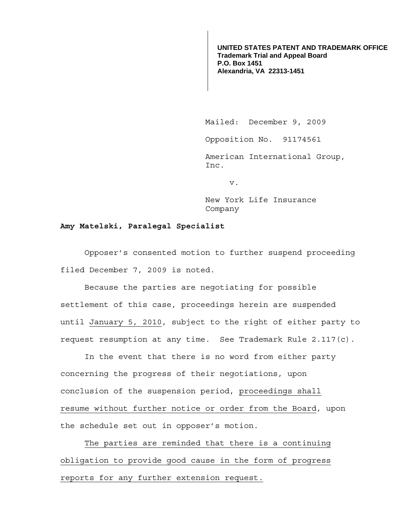**UNITED STATES PATENT AND TRADEMARK OFFICE Trademark Trial and Appeal Board P.O. Box 1451 Alexandria, VA 22313-1451**

Mailed: December 9, 2009

Opposition No. 91174561

 American International Group, Inc.

v.

 New York Life Insurance Company

## **Amy Matelski, Paralegal Specialist**

 Opposer's consented motion to further suspend proceeding filed December 7, 2009 is noted.

Because the parties are negotiating for possible settlement of this case, proceedings herein are suspended until January 5, 2010, subject to the right of either party to request resumption at any time. See Trademark Rule 2.117(c).

 In the event that there is no word from either party concerning the progress of their negotiations, upon conclusion of the suspension period, proceedings shall resume without further notice or order from the Board, upon the schedule set out in opposer's motion.

 The parties are reminded that there is a continuing obligation to provide good cause in the form of progress reports for any further extension request.